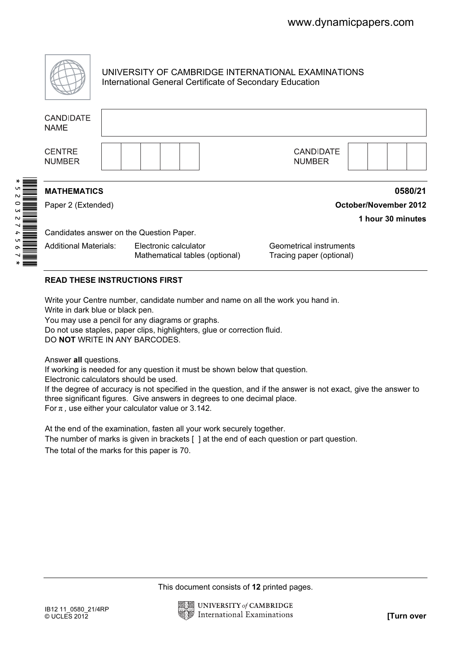

UNIVERSITY OF CAMBRIDGE INTERNATIONAL EXAMINATIONS International General Certificate of Secondary Education

|  | <b>CANDIDATE</b><br><b>NAME</b>                                                                                                                                                                                                                                                                                                                                                                                                                                                                                                                                                                                                                                                                                                                                                                                                                                                                                         |  |                       |  |                                                                     |                                |  |                                             |                                                     |  |            |  |                   |  |
|--|-------------------------------------------------------------------------------------------------------------------------------------------------------------------------------------------------------------------------------------------------------------------------------------------------------------------------------------------------------------------------------------------------------------------------------------------------------------------------------------------------------------------------------------------------------------------------------------------------------------------------------------------------------------------------------------------------------------------------------------------------------------------------------------------------------------------------------------------------------------------------------------------------------------------------|--|-----------------------|--|---------------------------------------------------------------------|--------------------------------|--|---------------------------------------------|-----------------------------------------------------|--|------------|--|-------------------|--|
|  | <b>CENTRE</b><br><b>NUMBER</b>                                                                                                                                                                                                                                                                                                                                                                                                                                                                                                                                                                                                                                                                                                                                                                                                                                                                                          |  |                       |  |                                                                     |                                |  |                                             | <b>CANDIDATE</b><br><b>NUMBER</b>                   |  |            |  |                   |  |
|  | <b>MATHEMATICS</b><br>0580/21                                                                                                                                                                                                                                                                                                                                                                                                                                                                                                                                                                                                                                                                                                                                                                                                                                                                                           |  |                       |  |                                                                     |                                |  |                                             |                                                     |  |            |  |                   |  |
|  | Paper 2 (Extended)                                                                                                                                                                                                                                                                                                                                                                                                                                                                                                                                                                                                                                                                                                                                                                                                                                                                                                      |  |                       |  |                                                                     |                                |  | <b>October/November 2012</b>                |                                                     |  |            |  |                   |  |
|  |                                                                                                                                                                                                                                                                                                                                                                                                                                                                                                                                                                                                                                                                                                                                                                                                                                                                                                                         |  |                       |  |                                                                     |                                |  |                                             |                                                     |  |            |  | 1 hour 30 minutes |  |
|  | Candidates answer on the Question Paper.                                                                                                                                                                                                                                                                                                                                                                                                                                                                                                                                                                                                                                                                                                                                                                                                                                                                                |  |                       |  |                                                                     |                                |  |                                             |                                                     |  |            |  |                   |  |
|  | <b>Additional Materials:</b>                                                                                                                                                                                                                                                                                                                                                                                                                                                                                                                                                                                                                                                                                                                                                                                                                                                                                            |  | Electronic calculator |  |                                                                     | Mathematical tables (optional) |  |                                             | Geometrical instruments<br>Tracing paper (optional) |  |            |  |                   |  |
|  | <b>READ THESE INSTRUCTIONS FIRST</b>                                                                                                                                                                                                                                                                                                                                                                                                                                                                                                                                                                                                                                                                                                                                                                                                                                                                                    |  |                       |  |                                                                     |                                |  |                                             |                                                     |  |            |  |                   |  |
|  | Write your Centre number, candidate number and name on all the work you hand in.<br>Write in dark blue or black pen.<br>You may use a pencil for any diagrams or graphs.<br>Do not use staples, paper clips, highlighters, glue or correction fluid.<br>DO NOT WRITE IN ANY BARCODES.<br>Answer all questions.<br>If working is needed for any question it must be shown below that question.<br>Electronic calculators should be used.<br>If the degree of accuracy is not specified in the question, and if the answer is not exact, give the answer to<br>three significant figures. Give answers in degrees to one decimal place.<br>For $\pi$ , use either your calculator value or 3.142.<br>At the end of the examination, fasten all your work securely together.<br>The number of marks is given in brackets [ ] at the end of each question or part question.<br>The total of the marks for this paper is 70. |  |                       |  |                                                                     |                                |  |                                             |                                                     |  |            |  |                   |  |
|  |                                                                                                                                                                                                                                                                                                                                                                                                                                                                                                                                                                                                                                                                                                                                                                                                                                                                                                                         |  |                       |  |                                                                     |                                |  | This document consists of 12 printed pages. |                                                     |  |            |  |                   |  |
|  | IB12 11_0580_21/4RP<br>© UCLES 2012                                                                                                                                                                                                                                                                                                                                                                                                                                                                                                                                                                                                                                                                                                                                                                                                                                                                                     |  |                       |  | <b>UNIVERSITY of CAMBRIDGE</b><br><b>International Examinations</b> |                                |  |                                             |                                                     |  | [Turn over |  |                   |  |

### READ THESE INSTRUCTIONS FIRST

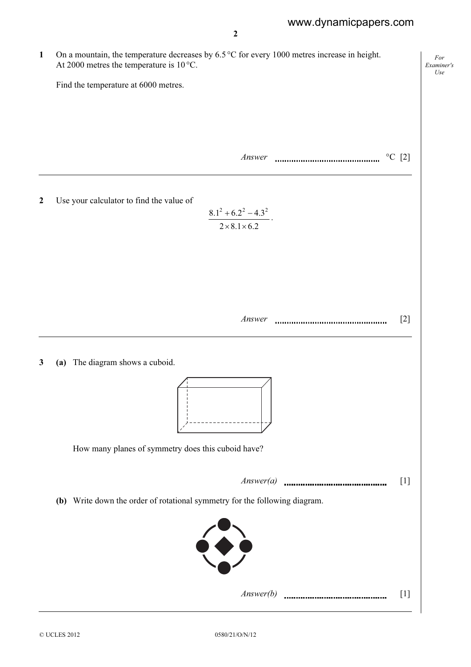For Examiner's  $U$ se

2

1 On a mountain, the temperature decreases by 6.5 °C for every 1000 metres increase in height. At 2000 metres the temperature is 10 °C. Find the temperature at 6000 metres.

 $Answer$   $\sim$   $\sim$  [2]

2 Use your calculator to find the value of

$$
\frac{8.1^2 + 6.2^2 - 4.3^2}{2 \times 8.1 \times 6.2}
$$

Answer [2]

3 (a) The diagram shows a cuboid.





 $Answer(b)$  [1]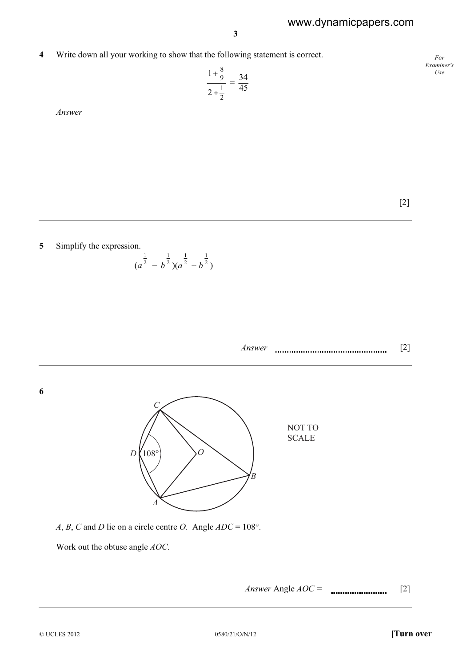4 Write down all your working to show that the following statement is correct.

$$
\frac{1+\frac{8}{9}}{2+\frac{1}{2}}=\frac{34}{45}
$$

Answer

[2]

For Examiner's Use

### 5 Simplify the expression.

$$
(a^{\frac{1}{2}} - b^{\frac{1}{2}})(a^{\frac{1}{2}} + b^{\frac{1}{2}})
$$

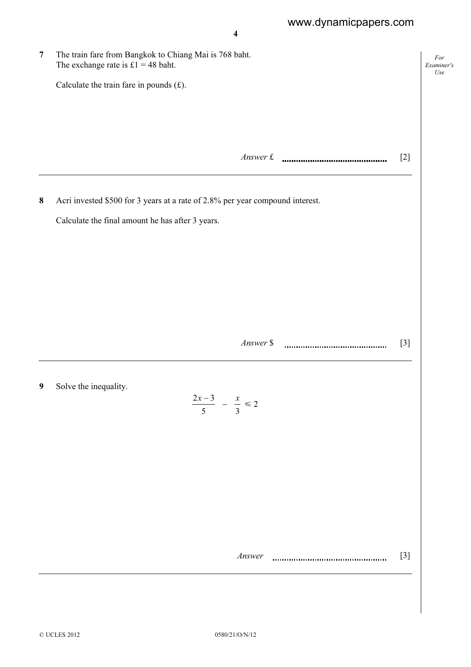For

Use

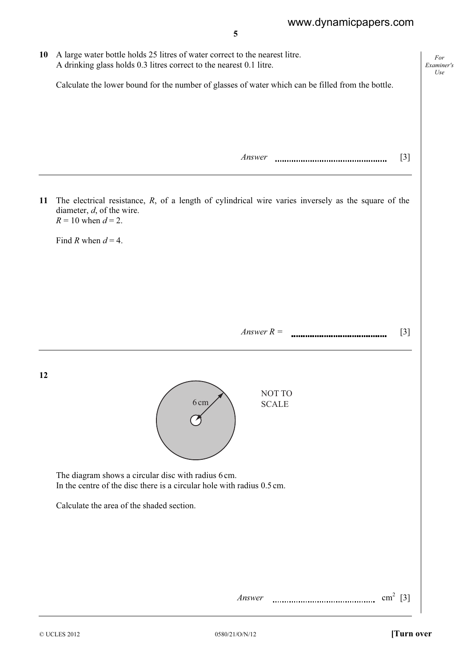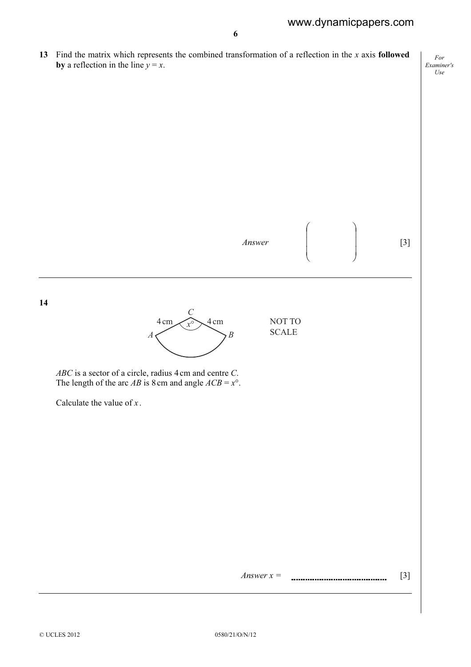For

Examiner's Use by a reflection in the line  $y = x$ . Answer  $\overline{\phantom{a}}$  $\overline{\phantom{a}}$  $\overline{\phantom{a}}$ J  $\backslash$  $\mathsf{I}$  $\mathbf{I}$  $\mathsf{I}$ l ſ [3] 14 *x*° *C*  $A \leftarrow \qquad \qquad \searrow B$  $4 \text{ cm}$   $\sim \sqrt{x^{\circ}}$   $\sim$   $4 \text{ cm}$  NOT TO SCALE ABC is a sector of a circle, radius 4 cm and centre C. The length of the arc *AB* is 8 cm and angle  $ACB = x^\circ$ . Calculate the value of  $x$ .

13 Find the matrix which represents the combined transformation of a reflection in the  $x$  axis **followed**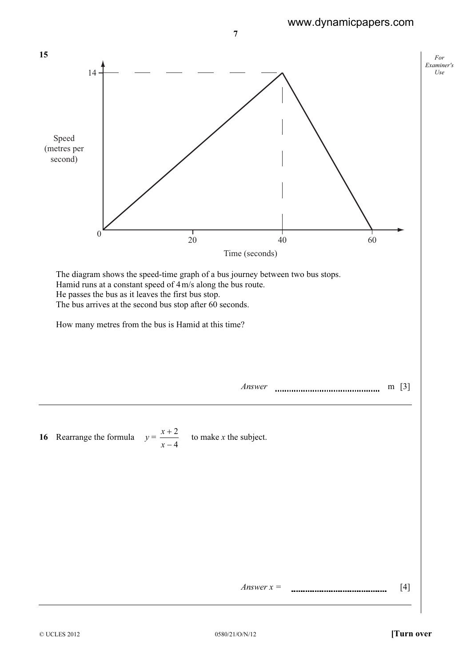

Answer  $x =$  [4]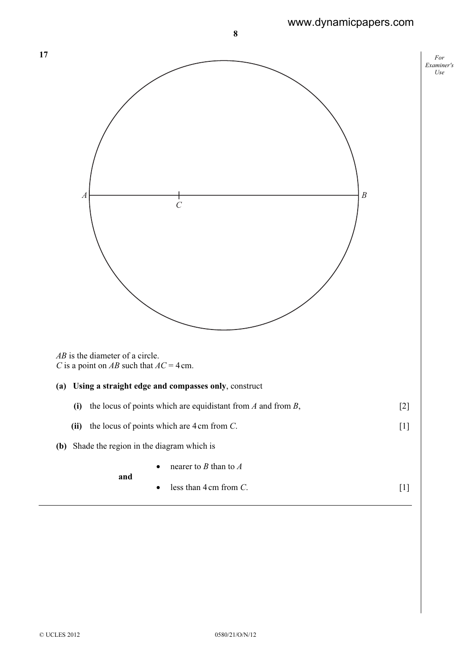# www.dynamicpapers.com

| 17                                                                             | $\cal For$<br>Examiner's |
|--------------------------------------------------------------------------------|--------------------------|
|                                                                                | Use                      |
|                                                                                |                          |
|                                                                                |                          |
|                                                                                |                          |
|                                                                                |                          |
|                                                                                |                          |
| $\boldsymbol{B}$<br>$\boldsymbol{A}$<br>$\cal C$                               |                          |
|                                                                                |                          |
|                                                                                |                          |
|                                                                                |                          |
|                                                                                |                          |
|                                                                                |                          |
|                                                                                |                          |
|                                                                                |                          |
| $AB$ is the diameter of a circle.<br>C is a point on AB such that $AC = 4$ cm. |                          |
| (a) Using a straight edge and compasses only, construct                        |                          |
| $[2]$<br>(i) the locus of points which are equidistant from $A$ and from $B$ , |                          |
| the locus of points which are $4 \text{ cm}$ from $C$ .<br>(ii)                |                          |
| (b) Shade the region in the diagram which is                                   |                          |
| nearer to $B$ than to $A$                                                      |                          |
| and<br>less than $4 \text{ cm}$ from $C$ .<br>$[1]$                            |                          |
|                                                                                |                          |

17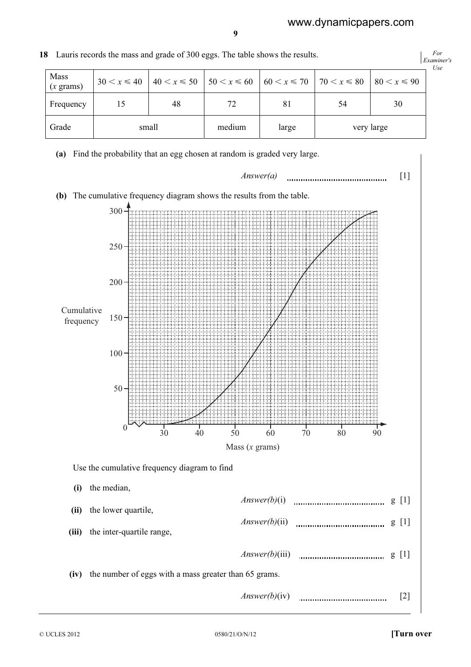| 8 Lauris records the mass and grade of 300 eggs. The table shows the results. |                 |       |                                                                             |       |            |                  |     |  |  |
|-------------------------------------------------------------------------------|-----------------|-------|-----------------------------------------------------------------------------|-------|------------|------------------|-----|--|--|
| Mass<br>$(x \text{ grams})$                                                   | $30 < x \le 40$ |       | $ 40 \lt x \le 50$ $ 50 \lt x \le 60$ $ 60 \lt x \le 70$ $ 70 \lt x \le 80$ |       |            | $80 < x \leq 90$ | Use |  |  |
| Frequency                                                                     | 15              | 48    | 72                                                                          | 81    | 54         | 30               |     |  |  |
| Grade                                                                         |                 | small | medium                                                                      | large | very large |                  |     |  |  |





9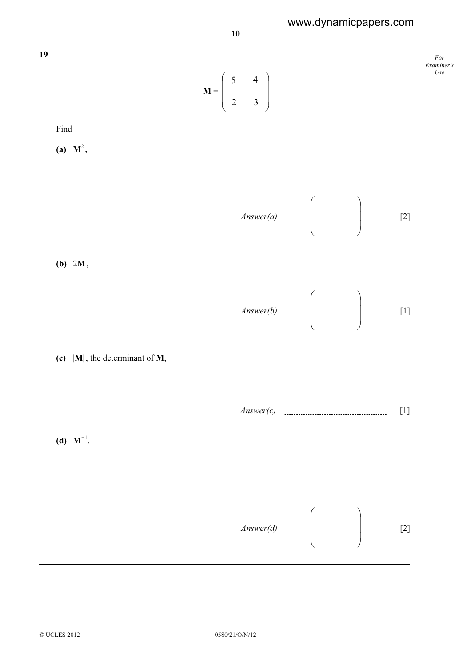## www.dynamicpapers.com



10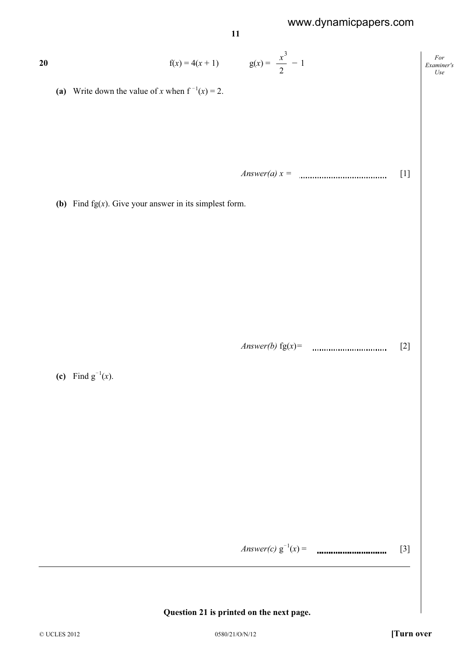www.dynamicpapers.com

For Examiner's Use 20  $f(x) = 4(x + 1)$   $g(x) = \frac{x}{2}$  $\frac{x^3}{2} - 1$ (a) Write down the value of x when  $f^{-1}(x) = 2$ . Answer(a)  $x =$  [1] (b) Find  $fg(x)$ . Give your answer in its simplest form. Answer(b) fg(x)= [2] (c) Find  $g^{-1}(x)$ . Answer(c) g O1 (x) = [3]

11

#### Question 21 is printed on the next page.